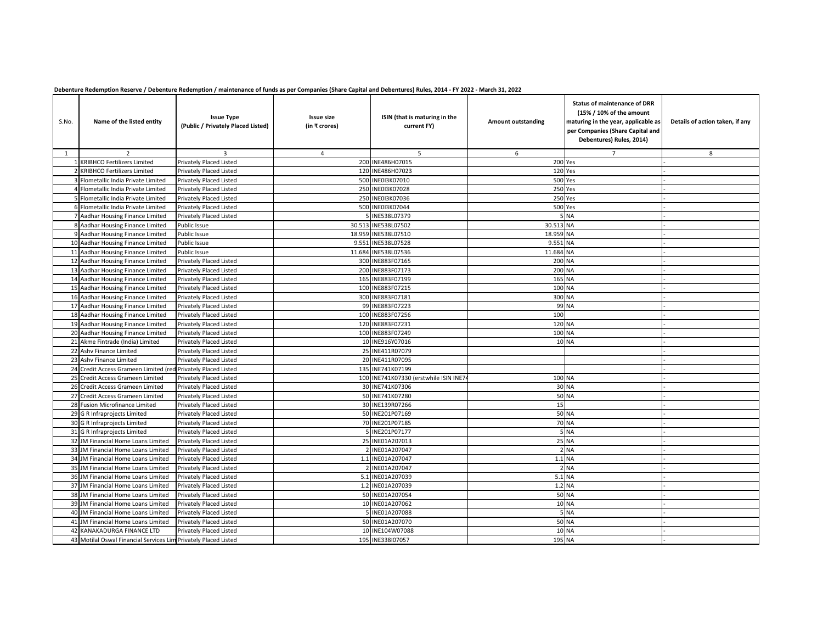## **Debenture Redemption Reserve / Debenture Redemption / maintenance of funds as per Companies (Share Capital and Debentures) Rules, 2014 - FY 2022 - March 31, 2022**

| S.No. | Name of the listed entity                                       | <b>Issue Type</b><br>(Public / Privately Placed Listed) | <b>Issue size</b><br>(in ₹ crores) | ISIN (that is maturing in the<br>current FY) | <b>Amount outstanding</b> | <b>Status of maintenance of DRR</b><br>(15% / 10% of the amount<br>maturing in the year, applicable as<br>per Companies (Share Capital and<br>Debentures) Rules, 2014) | Details of action taken, if any |
|-------|-----------------------------------------------------------------|---------------------------------------------------------|------------------------------------|----------------------------------------------|---------------------------|------------------------------------------------------------------------------------------------------------------------------------------------------------------------|---------------------------------|
| 1     | $\overline{2}$                                                  | $\overline{3}$                                          | $\overline{4}$                     | 5                                            | 6                         | $\overline{7}$                                                                                                                                                         | 8                               |
|       | 1 KRIBHCO Fertilizers Limited                                   | Privately Placed Listed                                 |                                    | 200 INE486H07015                             |                           | 200 Yes                                                                                                                                                                |                                 |
|       | 2 KRIBHCO Fertilizers Limited                                   | Privately Placed Listed                                 |                                    | 120 INE486H07023                             |                           | 120 Yes                                                                                                                                                                |                                 |
|       | 3 Flometallic India Private Limited                             | Privately Placed Listed                                 |                                    | 500 INE0I3K07010                             |                           | <b>500 Yes</b>                                                                                                                                                         |                                 |
|       | 4 Flometallic India Private Limited                             | Privately Placed Listed                                 |                                    | 250 INE0I3K07028                             |                           | <b>250 Yes</b>                                                                                                                                                         |                                 |
|       | 5 Flometallic India Private Limited                             | Privately Placed Listed                                 |                                    | 250 INE0I3K07036                             |                           | 250 Yes                                                                                                                                                                |                                 |
|       | 6 Flometallic India Private Limited                             | Privately Placed Listed                                 |                                    | 500 INE013K07044                             |                           | <b>500 Yes</b>                                                                                                                                                         |                                 |
|       | 7 Aadhar Housing Finance Limited                                | Privately Placed Listed                                 |                                    | 5 INE538L07379                               |                           | 5 NA                                                                                                                                                                   |                                 |
|       | 8 Aadhar Housing Finance Limited                                | Public Issue                                            |                                    | 30.513 INE538L07502                          | 30.513 NA                 |                                                                                                                                                                        |                                 |
|       | 9 Aadhar Housing Finance Limited                                | Public Issue                                            |                                    | 18.959 INE538L07510                          | 18.959 NA                 |                                                                                                                                                                        |                                 |
|       | 10 Aadhar Housing Finance Limited                               | Public Issue                                            |                                    | 9.551 INE538L07528                           | 9.551 NA                  |                                                                                                                                                                        |                                 |
|       | 11 Aadhar Housing Finance Limited                               | Public Issue                                            |                                    | 11.684 INE538L07536                          | 11.684 NA                 |                                                                                                                                                                        |                                 |
|       | 12 Aadhar Housing Finance Limited                               | Privately Placed Listed                                 |                                    | 300 INE883F07165                             | 200 NA                    |                                                                                                                                                                        |                                 |
|       | 13 Aadhar Housing Finance Limited                               | Privately Placed Listed                                 |                                    | 200 INE883F07173                             | 200 NA                    |                                                                                                                                                                        |                                 |
|       | 14 Aadhar Housing Finance Limited                               | Privately Placed Listed                                 |                                    | 165 INE883F07199                             |                           | 165 NA                                                                                                                                                                 |                                 |
|       | 15 Aadhar Housing Finance Limited                               | Privately Placed Listed                                 |                                    | 100 INE883F07215                             | 100 NA                    |                                                                                                                                                                        |                                 |
|       | 16 Aadhar Housing Finance Limited                               | Privately Placed Listed                                 |                                    | 300 INE883F07181                             |                           | 300 NA                                                                                                                                                                 |                                 |
|       | 17 Aadhar Housing Finance Limited                               | Privately Placed Listed                                 |                                    | 99 INE883F07223                              |                           | 99 NA                                                                                                                                                                  |                                 |
|       | 18 Aadhar Housing Finance Limited                               | Privately Placed Listed                                 |                                    | 100 INE883F07256                             | 100                       |                                                                                                                                                                        |                                 |
|       | 19 Aadhar Housing Finance Limited                               | Privately Placed Listed                                 |                                    | 120 INE883F07231                             |                           | 120 NA                                                                                                                                                                 |                                 |
|       | 20 Aadhar Housing Finance Limited                               | Privately Placed Listed                                 |                                    | 100 INE883F07249                             |                           | 100 NA                                                                                                                                                                 |                                 |
|       | 21 Akme Fintrade (India) Limited                                | Privately Placed Listed                                 |                                    | 10 INE916Y07016                              |                           | <b>10 NA</b>                                                                                                                                                           |                                 |
|       | 22 Ashv Finance Limited                                         | Privately Placed Listed                                 |                                    | 25 INE411R07079                              |                           |                                                                                                                                                                        |                                 |
|       | 23 Ashv Finance Limited                                         | Privately Placed Listed                                 |                                    | 20 INE411R07095                              |                           |                                                                                                                                                                        |                                 |
|       | 24 Credit Access Grameen Limited (red Privately Placed Listed   |                                                         |                                    | 135 INE741K07199                             |                           |                                                                                                                                                                        |                                 |
|       | 25 Credit Access Grameen Limited                                | Privately Placed Listed                                 |                                    | 100 INE741K07330 (erstwhile ISIN INE7        | 100 NA                    |                                                                                                                                                                        |                                 |
|       | 26 Credit Access Grameen Limited                                | Privately Placed Listed                                 |                                    | 30 INE741K07306                              |                           | 30 NA                                                                                                                                                                  |                                 |
|       | 27 Credit Access Grameen Limited                                | Privately Placed Listed                                 |                                    | 50 INE741K07280                              |                           | <b>50 NA</b>                                                                                                                                                           |                                 |
|       | 28 Fusion Microfinance Limited                                  | Privately Placed Listed                                 |                                    | 30 INE139R07266                              | 15                        |                                                                                                                                                                        |                                 |
|       | 29 G R Infraprojects Limited                                    | Privately Placed Listed                                 |                                    | 50 INE201P07169                              |                           | 50 NA                                                                                                                                                                  |                                 |
|       | 30 G R Infraprojects Limited                                    | Privately Placed Listed                                 |                                    | 70 INE201P07185                              |                           | 70 NA                                                                                                                                                                  |                                 |
|       | 31 G R Infraprojects Limited                                    | Privately Placed Listed                                 |                                    | 5 INE201P07177                               |                           | <b>5 NA</b>                                                                                                                                                            |                                 |
|       | 32 JM Financial Home Loans Limited                              | Privately Placed Listed                                 |                                    | 25 INE01A207013                              |                           | <b>25 NA</b>                                                                                                                                                           |                                 |
|       | 33 JM Financial Home Loans Limited                              | Privately Placed Listed                                 |                                    | INE01A207047                                 |                           | 2 NA                                                                                                                                                                   |                                 |
|       | 34 JM Financial Home Loans Limited                              | Privately Placed Listed                                 |                                    | 1.1 INE01A207047                             |                           | 1.1 NA                                                                                                                                                                 |                                 |
|       | 35 JM Financial Home Loans Limited                              | Privately Placed Listed                                 |                                    | INE01A207047                                 |                           | 2 NA                                                                                                                                                                   |                                 |
|       | 36 JM Financial Home Loans Limited                              | Privately Placed Listed                                 |                                    | 5.1 INE01A207039                             |                           | 5.1 NA                                                                                                                                                                 |                                 |
|       | 37 JM Financial Home Loans Limited                              | Privately Placed Listed                                 |                                    | 1.2 INE01A207039                             |                           | 1.2 NA                                                                                                                                                                 |                                 |
|       | 38 JM Financial Home Loans Limited                              | Privately Placed Listed                                 |                                    | 50 INE01A207054                              |                           | 50 NA                                                                                                                                                                  |                                 |
|       | 39 JM Financial Home Loans Limited                              | Privately Placed Listed                                 |                                    | 10 INE01A207062                              |                           | <b>10 NA</b>                                                                                                                                                           |                                 |
|       | 40 JM Financial Home Loans Limited                              | Privately Placed Listed                                 |                                    | 5 INE01A207088                               |                           | 5 NA                                                                                                                                                                   |                                 |
|       | 41 JM Financial Home Loans Limited                              | Privately Placed Listed                                 |                                    | 50 INE01A207070                              |                           | 50 NA                                                                                                                                                                  |                                 |
|       | 42 KANAKADURGA FINANCE LTD                                      | Privately Placed Listed                                 |                                    | 10 INE104W07088                              |                           | <b>10 NA</b>                                                                                                                                                           |                                 |
|       | 43 Motilal Oswal Financial Services Lim Privately Placed Listed |                                                         |                                    | 195 INE338107057                             |                           | 195 NA                                                                                                                                                                 |                                 |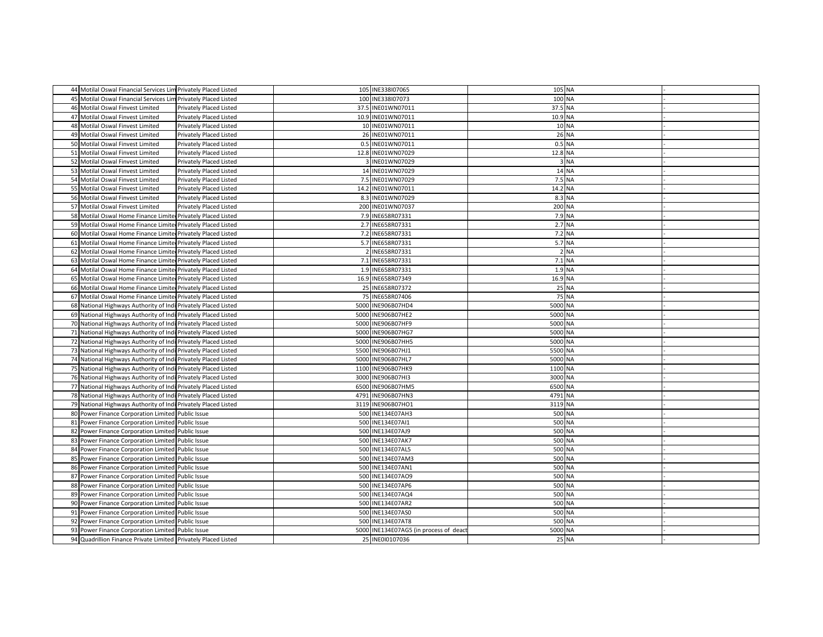| 44 Motilal Oswal Financial Services Lim Privately Placed Listed |                         | 105 INE338107065                       | 105 NA       |  |
|-----------------------------------------------------------------|-------------------------|----------------------------------------|--------------|--|
| 45 Motilal Oswal Financial Services Lim Privately Placed Listed |                         | 100 INE338107073                       | 100 NA       |  |
| 46 Motilal Oswal Finvest Limited                                | Privately Placed Listed | 37.5 INE01WN07011                      | 37.5 NA      |  |
| 47 Motilal Oswal Finvest Limited                                | Privately Placed Listed | 10.9 INE01WN07011                      | 10.9 NA      |  |
| 48 Motilal Oswal Finvest Limited                                | Privately Placed Listed | 10 INE01WN07011                        | <b>10 NA</b> |  |
| 49 Motilal Oswal Finvest Limited                                | Privately Placed Listed | 26 INE01WN07011                        | 26 NA        |  |
| 50 Motilal Oswal Finvest Limited                                | Privately Placed Listed | 0.5 INE01WN07011                       | 0.5 NA       |  |
| 51 Motilal Oswal Finvest Limited                                | Privately Placed Listed | 12.8 INE01WN07029                      | 12.8 NA      |  |
| 52 Motilal Oswal Finvest Limited                                | Privately Placed Listed | 3 INE01WN07029                         | 3 NA         |  |
| 53 Motilal Oswal Finvest Limited                                | Privately Placed Listed | 14 INE01WN07029                        | 14 NA        |  |
| 54 Motilal Oswal Finvest Limited                                | Privately Placed Listed | 7.5 INE01WN07029                       | 7.5 NA       |  |
| 55 Motilal Oswal Finvest Limited                                | Privately Placed Listed | 14.2 INE01WN07011                      | 14.2 NA      |  |
| 56 Motilal Oswal Finvest Limited                                | Privately Placed Listed | 8.3 INE01WN07029                       | 8.3 NA       |  |
| 57 Motilal Oswal Finvest Limited                                | Privately Placed Listed | 200 INE01WN07037                       | 200 NA       |  |
| 58 Motilal Oswal Home Finance Limiter Privately Placed Listed   |                         | 7.9 INE658R07331                       | 7.9 NA       |  |
| 59 Motilal Oswal Home Finance Limiter Privately Placed Listed   |                         | 2.7 INE658R07331                       | 2.7 NA       |  |
| 60 Motilal Oswal Home Finance Limiter Privately Placed Listed   |                         | 7.2 INE658R07331                       | 7.2 NA       |  |
| 61 Motilal Oswal Home Finance Limiter Privately Placed Listed   |                         | 5.7 INE658R07331                       | 5.7 NA       |  |
| 62 Motilal Oswal Home Finance Limiter Privately Placed Listed   |                         | 2 INE658R07331                         | 2 NA         |  |
| 63 Motilal Oswal Home Finance Limiter Privately Placed Listed   |                         | 7.1 INE658R07331                       | 7.1 NA       |  |
| 64 Motilal Oswal Home Finance Limiter Privately Placed Listed   |                         | 1.9 INE658R07331                       | 1.9 NA       |  |
| 65 Motilal Oswal Home Finance Limiter Privately Placed Listed   |                         | 16.9 INE658R07349                      | 16.9 NA      |  |
| 66 Motilal Oswal Home Finance Limiter Privately Placed Listed   |                         | 25 INE658R07372                        | <b>25 NA</b> |  |
| 67 Motilal Oswal Home Finance Limiter Privately Placed Listed   |                         | 75 INE658R07406                        | <b>75 NA</b> |  |
| 68 National Highways Authority of Indi Privately Placed Listed  |                         | 5000 INE906B07HD4                      | 5000 NA      |  |
| 69 National Highways Authority of Indi Privately Placed Listed  |                         | 5000 INE906B07HE2                      | 5000 NA      |  |
| 70 National Highways Authority of Indi Privately Placed Listed  |                         | 5000 INE906B07HF9                      | 5000 NA      |  |
| 71 National Highways Authority of Indi Privately Placed Listed  |                         | 5000 INE906B07HG7                      | 5000 NA      |  |
| 72 National Highways Authority of Indi Privately Placed Listed  |                         | 5000 INE906B07HH5                      | 5000 NA      |  |
| 73 National Highways Authority of Indi Privately Placed Listed  |                         | 5500 INE906B07HJ1                      | 5500 NA      |  |
| 74 National Highways Authority of Indi Privately Placed Listed  |                         | 5000 INE906B07HL7                      | 5000 NA      |  |
| 75 National Highways Authority of Indi Privately Placed Listed  |                         | 1100 INE906B07HK9                      | 1100 NA      |  |
| 76 National Highways Authority of Indi Privately Placed Listed  |                         | 3000 INE906B07HI3                      | 3000 NA      |  |
| 77 National Highways Authority of Indi Privately Placed Listed  |                         | 6500 INE906B07HM5                      | 6500 NA      |  |
| 78 National Highways Authority of Indi Privately Placed Listed  |                         | 4791 INE906B07HN3                      | 4791 NA      |  |
| 79 National Highways Authority of Indi Privately Placed Listed  |                         | 3119 INE906B07HO1                      | 3119 NA      |  |
| 80 Power Finance Corporation Limited Public Issue               |                         | 500 INE134E07AH3                       | 500 NA       |  |
| 81 Power Finance Corporation Limited Public Issue               |                         | 500 INE134E07AI1                       | 500 NA       |  |
| 82 Power Finance Corporation Limited Public Issue               |                         | 500 INE134E07AJ9                       | 500 NA       |  |
| 83 Power Finance Corporation Limited Public Issue               |                         | 500 INE134E07AK7                       | 500 NA       |  |
| 84 Power Finance Corporation Limited Public Issue               |                         | 500 INE134E07AL5                       | 500 NA       |  |
| 85 Power Finance Corporation Limited Public Issue               |                         | 500 INE134E07AM3                       | 500 NA       |  |
| 86 Power Finance Corporation Limited Public Issue               |                         | 500 INE134E07AN1                       | 500 NA       |  |
| 87 Power Finance Corporation Limited Public Issue               |                         | 500 INE134E07AO9                       | 500 NA       |  |
| 88 Power Finance Corporation Limited Public Issue               |                         | 500 INE134E07AP6                       | 500 NA       |  |
| 89 Power Finance Corporation Limited Public Issue               |                         | 500 INE134E07AQ4                       | 500 NA       |  |
| 90 Power Finance Corporation Limited Public Issue               |                         | 500 INE134E07AR2                       | 500 NA       |  |
| 91 Power Finance Corporation Limited Public Issue               |                         | 500 INE134E07AS0                       | 500 NA       |  |
| 92 Power Finance Corporation Limited Public Issue               |                         | 500 INE134E07AT8                       | 500 NA       |  |
| 93 Power Finance Corporation Limited Public Issue               |                         | 5000 INE134E07AG5 (in process of deact | 5000 NA      |  |
| 94 Quadrillion Finance Private Limited Privately Placed Listed  |                         | 25 INE0I0107036                        | 25 NA        |  |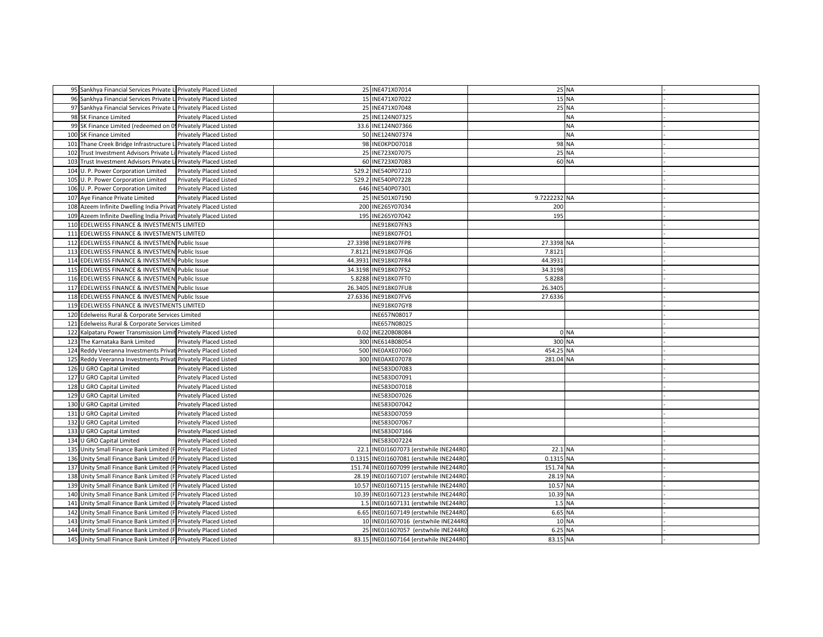| 95 Sankhya Financial Services Private Li Privately Placed Listed  |         | 25 INE471X07014                          |              | <b>25 NA</b> |  |
|-------------------------------------------------------------------|---------|------------------------------------------|--------------|--------------|--|
| 96 Sankhya Financial Services Private Li Privately Placed Listed  |         | 15 INE471X07022                          |              | <b>15 NA</b> |  |
| 97 Sankhya Financial Services Private Li Privately Placed Listed  |         | 25 INE471X07048                          |              | 25 NA        |  |
| 98 SK Finance Limited<br>Privately Placed Listed                  |         | 25 INE124N07325                          |              | <b>NA</b>    |  |
| 99 SK Finance Limited (redeemed on 09 Privately Placed Listed     |         | 33.6 INE124N07366                        |              | <b>NA</b>    |  |
| 100 SK Finance Limited<br>Privately Placed Listed                 |         | 50 INE124N07374                          |              | <b>NA</b>    |  |
| 101 Thane Creek Bridge Infrastructure Li Privately Placed Listed  |         | 98 INE0KPD07018                          |              | 98 NA        |  |
| 102 Trust Investment Advisors Private Lil Privately Placed Listed |         | 25 INE723X07075                          |              | <b>25 NA</b> |  |
| 103 Trust Investment Advisors Private Li Privately Placed Listed  |         | 60 INE723X07083                          |              | 60 NA        |  |
| 104 U. P. Power Corporation Limited<br>Privately Placed Listed    |         | 529.2 INE540P07210                       |              |              |  |
| 105 U. P. Power Corporation Limited<br>Privately Placed Listed    |         | 529.2 INE540P07228                       |              |              |  |
| 106 U. P. Power Corporation Limited<br>Privately Placed Listed    |         | 646 INE540P07301                         |              |              |  |
| 107 Aye Finance Private Limited<br>Privately Placed Listed        |         | 25 INE501X07190                          | 9.7222232 NA |              |  |
| 108 Azeem Infinite Dwelling India Privat Privately Placed Listed  |         | 200 INE265Y07034                         | 200          |              |  |
| 109 Azeem Infinite Dwelling India Privat Privately Placed Listed  |         | 195 INE265Y07042                         | 195          |              |  |
| 110 EDELWEISS FINANCE & INVESTMENTS LIMITED                       |         | INE918K07FN3                             |              |              |  |
| 111 EDELWEISS FINANCE & INVESTMENTS LIMITED                       |         | INE918K07FO1                             |              |              |  |
| 112 EDELWEISS FINANCE & INVESTMEN Public Issue                    |         | 27.3398 INE918K07FP8                     | 27.3398 NA   |              |  |
| 113 EDELWEISS FINANCE & INVESTMEN Public Issue                    | 7.8121  | INE918K07FQ6                             | 7.8121       |              |  |
| 114 EDELWEISS FINANCE & INVESTMEN Public Issue                    | 44.3931 | <b>INE918K07FR4</b>                      | 44.3931      |              |  |
| 115 EDELWEISS FINANCE & INVESTMEN Public Issue                    |         | 34.3198 INE918K07FS2                     | 34.3198      |              |  |
| 116 EDELWEISS FINANCE & INVESTMEN Public Issue                    |         | 5.8288 INE918K07FT0                      | 5.8288       |              |  |
| 117 EDELWEISS FINANCE & INVESTMEN Public Issue                    |         | 26.3405 INE918K07FU8                     | 26.3405      |              |  |
| 118 EDELWEISS FINANCE & INVESTMEN Public Issue                    |         | 27.6336 INE918K07FV6                     | 27.6336      |              |  |
| 119 EDELWEISS FINANCE & INVESTMENTS LIMITED                       |         | INE918K07GY8                             |              |              |  |
|                                                                   |         |                                          |              |              |  |
| 120 Edelweiss Rural & Corporate Services Limited                  |         | INE657N08017                             |              |              |  |
| 121 Edelweiss Rural & Corporate Services Limited                  |         | INE657N08025                             |              |              |  |
| 122 Kalpataru Power Transmission Limit Privately Placed Listed    |         | 0.02 INE220B08084                        |              | 0 NA         |  |
| 123 The Karnataka Bank Limited<br>Privately Placed Listed         |         | 300 INE614B08054                         | 300 NA       |              |  |
| 124 Reddy Veeranna Investments Privat Privately Placed Listed     |         | 500 INE0AXE07060                         | 454.25 NA    |              |  |
| 125 Reddy Veeranna Investments Privat Privately Placed Listed     |         | 300 INE0AXE07078                         | 281.04 NA    |              |  |
| 126 U GRO Capital Limited<br>Privately Placed Listed              |         | INE583D07083                             |              |              |  |
| 127 U GRO Capital Limited<br>Privately Placed Listed              |         | INE583D07091                             |              |              |  |
| 128 U GRO Capital Limited<br>Privately Placed Listed              |         | INE583D07018                             |              |              |  |
| 129 U GRO Capital Limited<br>Privately Placed Listed              |         | INE583D07026                             |              |              |  |
| 130 U GRO Capital Limited<br>Privately Placed Listed              |         | INE583D07042                             |              |              |  |
| 131 U GRO Capital Limited<br>Privately Placed Listed              |         | INE583D07059                             |              |              |  |
| 132 U GRO Capital Limited<br>Privately Placed Listed              |         | INE583D07067                             |              |              |  |
| 133 U GRO Capital Limited<br>Privately Placed Listed              |         | INE583D07166                             |              |              |  |
| 134 U GRO Capital Limited<br>Privately Placed Listed              |         | INE583D07224                             |              |              |  |
| 135 Unity Small Finance Bank Limited (F Privately Placed Listed   | 22.1    | INE0J1607073 (erstwhile INE244R0)        | 22.1 NA      |              |  |
| 136 Unity Small Finance Bank Limited (F Privately Placed Listed   |         | 0.1315 INE0J1607081 (erstwhile INE244R0) | 0.1315 NA    |              |  |
| 137 Unity Small Finance Bank Limited (F Privately Placed Listed   |         | 151.74 INE0J1607099 (erstwhile INE244R0) | 151.74 NA    |              |  |
| 138 Unity Small Finance Bank Limited (F Privately Placed Listed   |         | 28.19 INE0J1607107 (erstwhile INE244R0)  | 28.19 NA     |              |  |
| 139 Unity Small Finance Bank Limited (F Privately Placed Listed   |         | 10.57 INE0J1607115 (erstwhile INE244R0)  | 10.57 NA     |              |  |
| 140 Unity Small Finance Bank Limited (F Privately Placed Listed   |         | 10.39 INE0J1607123 (erstwhile INE244R0)  | 10.39 NA     |              |  |
| 141 Unity Small Finance Bank Limited (F Privately Placed Listed   |         | 1.5 INE0J1607131 (erstwhile INE244R0)    | 1.5 NA       |              |  |
| 142 Unity Small Finance Bank Limited (F Privately Placed Listed   |         | 6.65 INE0J1607149 (erstwhile INE244R0)   | 6.65 NA      |              |  |
| 143 Unity Small Finance Bank Limited (F Privately Placed Listed   |         | 10 INE0J1607016 (erstwhile INE244R0      |              | 10 NA        |  |
| 144 Unity Small Finance Bank Limited (F Privately Placed Listed   |         | 25 INE0J1607057 (erstwhile INE244R0      | 6.25 NA      |              |  |
| 145 Unity Small Finance Bank Limited (F Privately Placed Listed   |         | 83.15 INE0J1607164 (erstwhile INE244R0)  | 83.15 NA     |              |  |
|                                                                   |         |                                          |              |              |  |